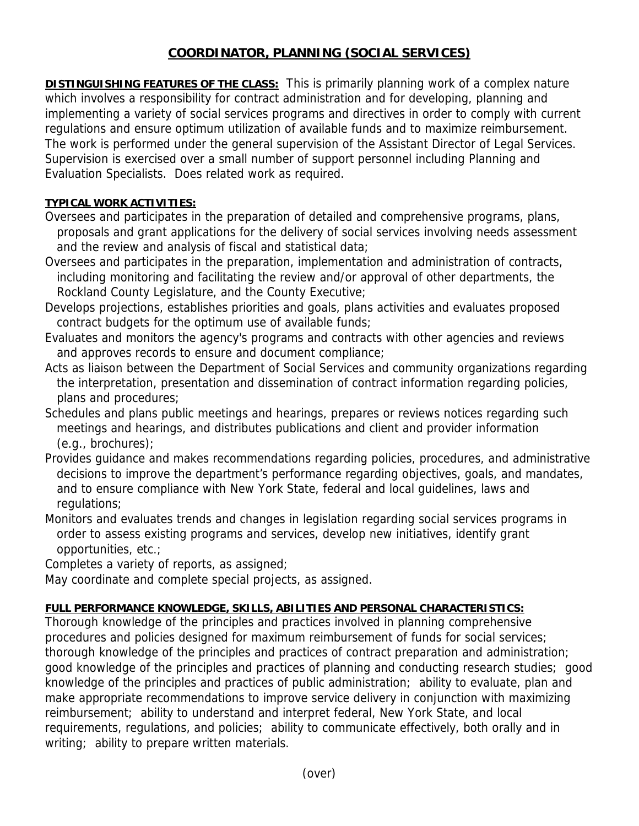# **COORDINATOR, PLANNING (SOCIAL SERVICES)**

**DISTINGUISHING FEATURES OF THE CLASS:** This is primarily planning work of a complex nature which involves a responsibility for contract administration and for developing, planning and implementing a variety of social services programs and directives in order to comply with current regulations and ensure optimum utilization of available funds and to maximize reimbursement. The work is performed under the general supervision of the Assistant Director of Legal Services. Supervision is exercised over a small number of support personnel including Planning and Evaluation Specialists. Does related work as required.

## **TYPICAL WORK ACTIVITIES:**

- Oversees and participates in the preparation of detailed and comprehensive programs, plans, proposals and grant applications for the delivery of social services involving needs assessment and the review and analysis of fiscal and statistical data;
- Oversees and participates in the preparation, implementation and administration of contracts, including monitoring and facilitating the review and/or approval of other departments, the Rockland County Legislature, and the County Executive;
- Develops projections, establishes priorities and goals, plans activities and evaluates proposed contract budgets for the optimum use of available funds;
- Evaluates and monitors the agency's programs and contracts with other agencies and reviews and approves records to ensure and document compliance;
- Acts as liaison between the Department of Social Services and community organizations regarding the interpretation, presentation and dissemination of contract information regarding policies, plans and procedures;
- Schedules and plans public meetings and hearings, prepares or reviews notices regarding such meetings and hearings, and distributes publications and client and provider information (e.g., brochures);
- Provides guidance and makes recommendations regarding policies, procedures, and administrative decisions to improve the department's performance regarding objectives, goals, and mandates, and to ensure compliance with New York State, federal and local guidelines, laws and regulations;
- Monitors and evaluates trends and changes in legislation regarding social services programs in order to assess existing programs and services, develop new initiatives, identify grant opportunities, etc.;

Completes a variety of reports, as assigned;

May coordinate and complete special projects, as assigned.

## **FULL PERFORMANCE KNOWLEDGE, SKILLS, ABILITIES AND PERSONAL CHARACTERISTICS:**

Thorough knowledge of the principles and practices involved in planning comprehensive procedures and policies designed for maximum reimbursement of funds for social services; thorough knowledge of the principles and practices of contract preparation and administration; good knowledge of the principles and practices of planning and conducting research studies; good knowledge of the principles and practices of public administration; ability to evaluate, plan and make appropriate recommendations to improve service delivery in conjunction with maximizing reimbursement; ability to understand and interpret federal, New York State, and local requirements, regulations, and policies; ability to communicate effectively, both orally and in writing; ability to prepare written materials.